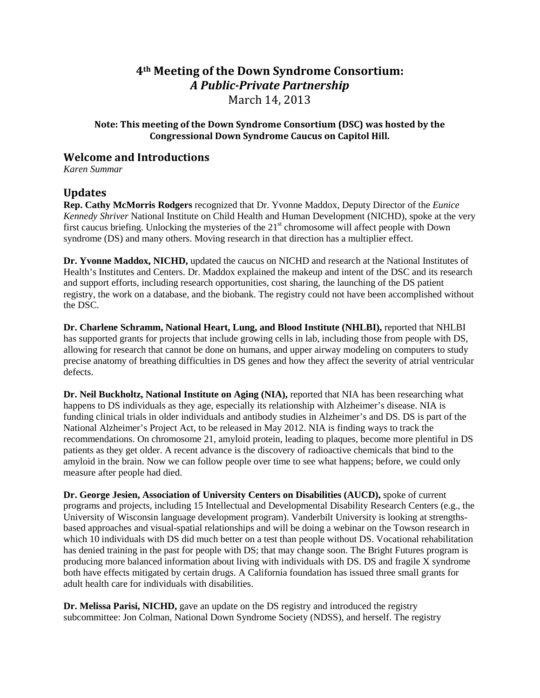# **4th Meeting of the Down Syndrome Consortium:** *A Public-Private Partnership* March 14, 2013

#### **Note: This meeting of the Down Syndrome Consortium (DSC) was hosted by the Congressional Down Syndrome Caucus on Capitol Hill.**

### **Welcome and Introductions**

*Karen Summar* 

#### **Updates**

**Rep. Cathy McMorris Rodgers** recognized that Dr. Yvonne Maddox, Deputy Director of the *Eunice Kennedy Shriver* National Institute on Child Health and Human Development (NICHD), spoke at the very first caucus briefing. Unlocking the mysteries of the 21<sup>st</sup> chromosome will affect people with Down syndrome (DS) and many others. Moving research in that direction has a multiplier effect.

**Dr. Yvonne Maddox, NICHD,** updated the caucus on NICHD and research at the National Institutes of Health's Institutes and Centers. Dr. Maddox explained the makeup and intent of the DSC and its research and support efforts, including research opportunities, cost sharing, the launching of the DS patient registry, the work on a database, and the biobank. The registry could not have been accomplished without the DSC.

**Dr. Charlene Schramm, National Heart, Lung, and Blood Institute (NHLBI),** reported that NHLBI has supported grants for projects that include growing cells in lab, including those from people with DS, allowing for research that cannot be done on humans, and upper airway modeling on computers to study precise anatomy of breathing difficulties in DS genes and how they affect the severity of atrial ventricular defects.

**Dr. Neil Buckholtz, National Institute on Aging (NIA),** reported that NIA has been researching what happens to DS individuals as they age, especially its relationship with Alzheimer's disease. NIA is funding clinical trials in older individuals and antibody studies in Alzheimer's and DS. DS is part of the National Alzheimer's Project Act, to be released in May 2012. NIA is finding ways to track the recommendations. On chromosome 21, amyloid protein, leading to plaques, become more plentiful in DS patients as they get older. A recent advance is the discovery of radioactive chemicals that bind to the amyloid in the brain. Now we can follow people over time to see what happens; before, we could only measure after people had died.

**Dr. George Jesien, Association of University Centers on Disabilities (AUCD),** spoke of current programs and projects, including 15 Intellectual and Developmental Disability Research Centers (e.g., the University of Wisconsin language development program). Vanderbilt University is looking at strengthsbased approaches and visual-spatial relationships and will be doing a webinar on the Towson research in which 10 individuals with DS did much better on a test than people without DS. Vocational rehabilitation has denied training in the past for people with DS; that may change soon. The Bright Futures program is producing more balanced information about living with individuals with DS. DS and fragile X syndrome both have effects mitigated by certain drugs. A California foundation has issued three small grants for adult health care for individuals with disabilities.

**Dr. Melissa Parisi, NICHD,** gave an update on the DS registry and introduced the registry subcommittee: Jon Colman, National Down Syndrome Society (NDSS), and herself. The registry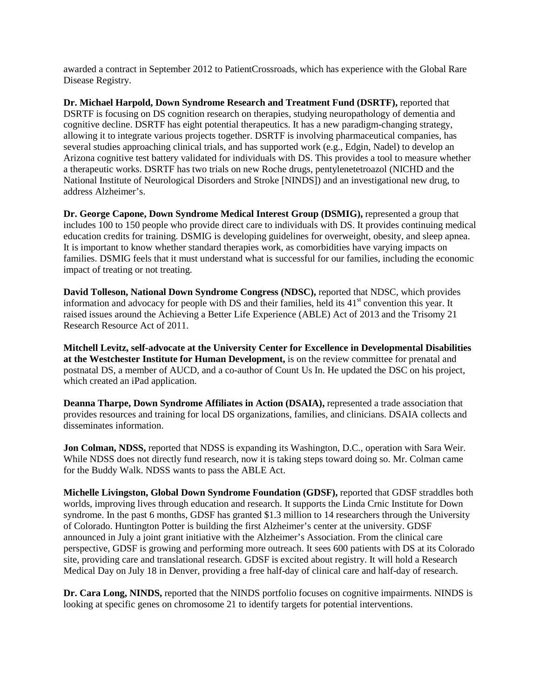awarded a contract in September 2012 to PatientCrossroads, which has experience with the Global Rare Disease Registry.

**Dr. Michael Harpold, Down Syndrome Research and Treatment Fund (DSRTF),** reported that DSRTF is focusing on DS cognition research on therapies, studying neuropathology of dementia and cognitive decline. DSRTF has eight potential therapeutics. It has a new paradigm-changing strategy, allowing it to integrate various projects together. DSRTF is involving pharmaceutical companies, has several studies approaching clinical trials, and has supported work (e.g., Edgin, Nadel) to develop an Arizona cognitive test battery validated for individuals with DS. This provides a tool to measure whether a therapeutic works. DSRTF has two trials on new Roche drugs, pentylenetetroazol (NICHD and the National Institute of Neurological Disorders and Stroke [NINDS]) and an investigational new drug, to address Alzheimer's.

**Dr. George Capone, Down Syndrome Medical Interest Group (DSMIG),** represented a group that includes 100 to 150 people who provide direct care to individuals with DS. It provides continuing medical education credits for training. DSMIG is developing guidelines for overweight, obesity, and sleep apnea. It is important to know whether standard therapies work, as comorbidities have varying impacts on families. DSMIG feels that it must understand what is successful for our families, including the economic impact of treating or not treating.

**David Tolleson, National Down Syndrome Congress (NDSC),** reported that NDSC, which provides information and advocacy for people with DS and their families, held its 41<sup>st</sup> convention this year. It raised issues around the Achieving a Better Life Experience (ABLE) Act of 2013 and the Trisomy 21 Research Resource Act of 2011.

**Mitchell Levitz, self-advocate at the University Center for Excellence in Developmental Disabilities at the Westchester Institute for Human Development,** is on the review committee for prenatal and postnatal DS, a member of AUCD, and a co-author of Count Us In. He updated the DSC on his project, which created an iPad application.

**Deanna Tharpe, Down Syndrome Affiliates in Action (DSAIA),** represented a trade association that provides resources and training for local DS organizations, families, and clinicians. DSAIA collects and disseminates information.

**Jon Colman, NDSS,** reported that NDSS is expanding its Washington, D.C., operation with Sara Weir. While NDSS does not directly fund research, now it is taking steps toward doing so. Mr. Colman came for the Buddy Walk. NDSS wants to pass the ABLE Act.

**Michelle Livingston, Global Down Syndrome Foundation (GDSF),** reported that GDSF straddles both worlds, improving lives through education and research. It supports the Linda Crnic Institute for Down syndrome. In the past 6 months, GDSF has granted \$1.3 million to 14 researchers through the University of Colorado. Huntington Potter is building the first Alzheimer's center at the university. GDSF announced in July a joint grant initiative with the Alzheimer's Association. From the clinical care perspective, GDSF is growing and performing more outreach. It sees 600 patients with DS at its Colorado site, providing care and translational research. GDSF is excited about registry. It will hold a Research Medical Day on July 18 in Denver, providing a free half-day of clinical care and half-day of research.

**Dr. Cara Long, NINDS,** reported that the NINDS portfolio focuses on cognitive impairments. NINDS is looking at specific genes on chromosome 21 to identify targets for potential interventions.